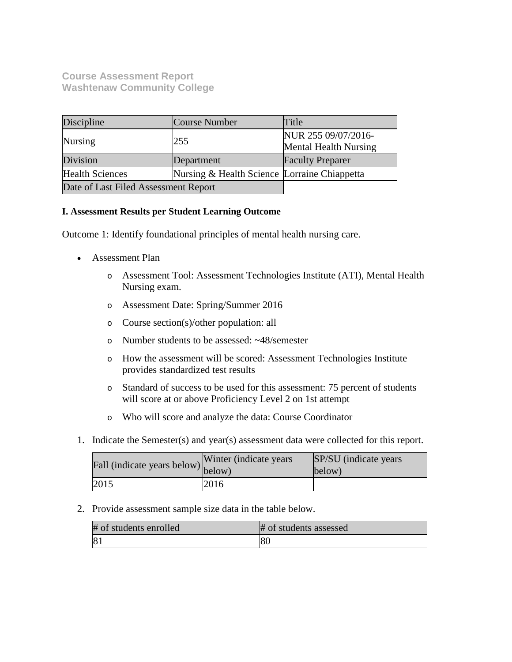# **Course Assessment Report Washtenaw Community College**

| Discipline                           | Course Number                                | Title                                               |
|--------------------------------------|----------------------------------------------|-----------------------------------------------------|
| Nursing                              | 255                                          | NUR 255 09/07/2016-<br><b>Mental Health Nursing</b> |
| Division                             | Department                                   | <b>Faculty Preparer</b>                             |
| <b>Health Sciences</b>               | Nursing & Health Science Lorraine Chiappetta |                                                     |
| Date of Last Filed Assessment Report |                                              |                                                     |

## **I. Assessment Results per Student Learning Outcome**

Outcome 1: Identify foundational principles of mental health nursing care.

- Assessment Plan
	- o Assessment Tool: Assessment Technologies Institute (ATI), Mental Health Nursing exam.
	- o Assessment Date: Spring/Summer 2016
	- o Course section(s)/other population: all
	- o Number students to be assessed: ~48/semester
	- o How the assessment will be scored: Assessment Technologies Institute provides standardized test results
	- o Standard of success to be used for this assessment: 75 percent of students will score at or above Proficiency Level 2 on 1st attempt
	- o Who will score and analyze the data: Course Coordinator
- 1. Indicate the Semester(s) and year(s) assessment data were collected for this report.

| $\angle$ $\angle$ fall (indicate years below) below) | Winter (indicate years) | SP/SU (indicate years)<br>below) |
|------------------------------------------------------|-------------------------|----------------------------------|
| 2015                                                 | 2016                    |                                  |

2. Provide assessment sample size data in the table below.

| # of students enrolled | # of students assessed |
|------------------------|------------------------|
| 8 <sub>1</sub>         | 80                     |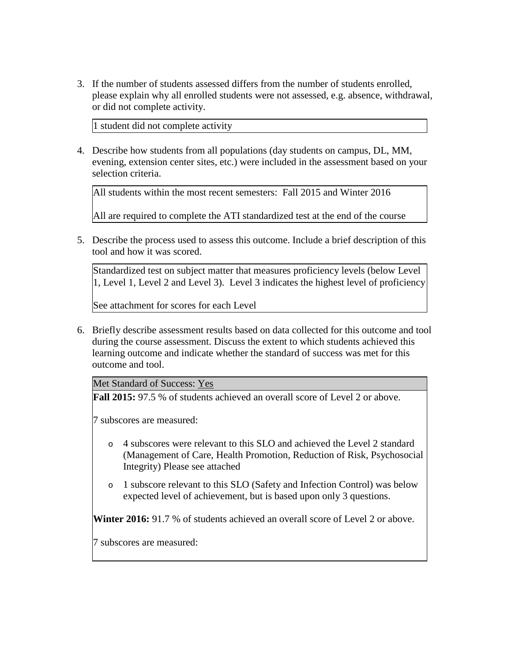3. If the number of students assessed differs from the number of students enrolled, please explain why all enrolled students were not assessed, e.g. absence, withdrawal, or did not complete activity.

1 student did not complete activity

4. Describe how students from all populations (day students on campus, DL, MM, evening, extension center sites, etc.) were included in the assessment based on your selection criteria.

All students within the most recent semesters: Fall 2015 and Winter 2016

All are required to complete the ATI standardized test at the end of the course

5. Describe the process used to assess this outcome. Include a brief description of this tool and how it was scored.

Standardized test on subject matter that measures proficiency levels (below Level 1, Level 1, Level 2 and Level 3). Level 3 indicates the highest level of proficiency

See attachment for scores for each Level

6. Briefly describe assessment results based on data collected for this outcome and tool during the course assessment. Discuss the extent to which students achieved this learning outcome and indicate whether the standard of success was met for this outcome and tool.

Met Standard of Success: Yes

**Fall 2015:** 97.5 % of students achieved an overall score of Level 2 or above.

7 subscores are measured:

- o 4 subscores were relevant to this SLO and achieved the Level 2 standard (Management of Care, Health Promotion, Reduction of Risk, Psychosocial Integrity) Please see attached
- o 1 subscore relevant to this SLO (Safety and Infection Control) was below expected level of achievement, but is based upon only 3 questions.

**Winter 2016:** 91.7 % of students achieved an overall score of Level 2 or above.

7 subscores are measured: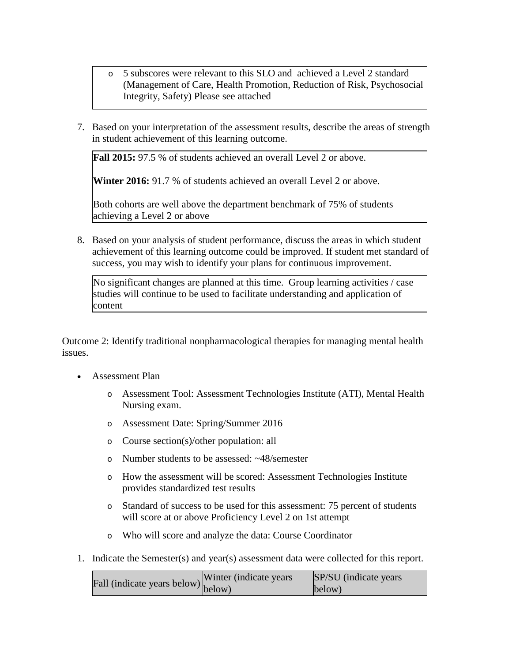- o 5 subscores were relevant to this SLO and achieved a Level 2 standard (Management of Care, Health Promotion, Reduction of Risk, Psychosocial Integrity, Safety) Please see attached
- 7. Based on your interpretation of the assessment results, describe the areas of strength in student achievement of this learning outcome.

**Fall 2015:** 97.5 % of students achieved an overall Level 2 or above.

**Winter 2016:** 91.7 % of students achieved an overall Level 2 or above.

Both cohorts are well above the department benchmark of 75% of students achieving a Level 2 or above

8. Based on your analysis of student performance, discuss the areas in which student achievement of this learning outcome could be improved. If student met standard of success, you may wish to identify your plans for continuous improvement.

No significant changes are planned at this time. Group learning activities / case studies will continue to be used to facilitate understanding and application of content

Outcome 2: Identify traditional nonpharmacological therapies for managing mental health issues.

- Assessment Plan
	- o Assessment Tool: Assessment Technologies Institute (ATI), Mental Health Nursing exam.
	- o Assessment Date: Spring/Summer 2016
	- o Course section(s)/other population: all
	- o Number students to be assessed: ~48/semester
	- o How the assessment will be scored: Assessment Technologies Institute provides standardized test results
	- o Standard of success to be used for this assessment: 75 percent of students will score at or above Proficiency Level 2 on 1st attempt
	- o Who will score and analyze the data: Course Coordinator
- 1. Indicate the Semester(s) and year(s) assessment data were collected for this report.

| indicate years below) Winter (indicate years | SP/SU (indicate years) |
|----------------------------------------------|------------------------|
|                                              | below)                 |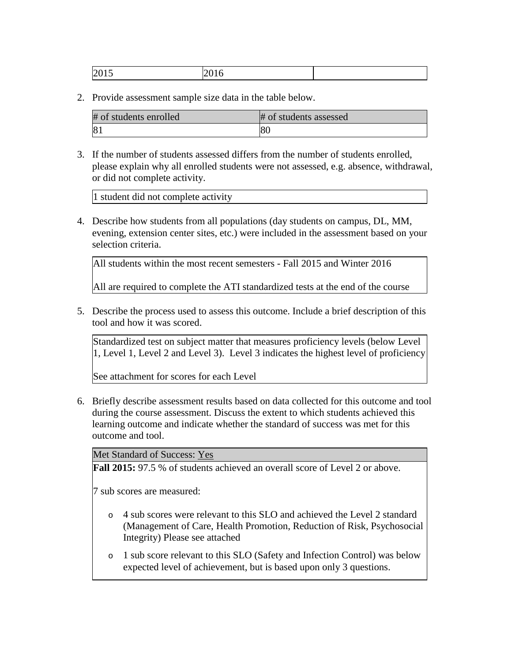| <b>.</b><br>∼ | $\sim$ |  |  |
|---------------|--------|--|--|
|---------------|--------|--|--|

2. Provide assessment sample size data in the table below.

| # of students enrolled | # of students assessed |
|------------------------|------------------------|
| 81                     | 80                     |

3. If the number of students assessed differs from the number of students enrolled, please explain why all enrolled students were not assessed, e.g. absence, withdrawal, or did not complete activity.

1 student did not complete activity

4. Describe how students from all populations (day students on campus, DL, MM, evening, extension center sites, etc.) were included in the assessment based on your selection criteria.

All students within the most recent semesters - Fall 2015 and Winter 2016

All are required to complete the ATI standardized tests at the end of the course

5. Describe the process used to assess this outcome. Include a brief description of this tool and how it was scored.

Standardized test on subject matter that measures proficiency levels (below Level 1, Level 1, Level 2 and Level 3). Level 3 indicates the highest level of proficiency

See attachment for scores for each Level

6. Briefly describe assessment results based on data collected for this outcome and tool during the course assessment. Discuss the extent to which students achieved this learning outcome and indicate whether the standard of success was met for this outcome and tool.

Met Standard of Success: Yes

**Fall 2015:** 97.5 % of students achieved an overall score of Level 2 or above.

7 sub scores are measured:

- o 4 sub scores were relevant to this SLO and achieved the Level 2 standard (Management of Care, Health Promotion, Reduction of Risk, Psychosocial Integrity) Please see attached
- o 1 sub score relevant to this SLO (Safety and Infection Control) was below expected level of achievement, but is based upon only 3 questions.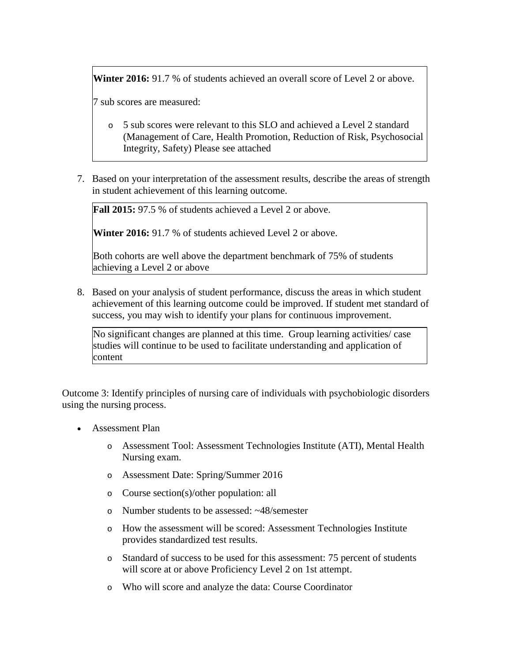Winter 2016: 91.7 % of students achieved an overall score of Level 2 or above.

7 sub scores are measured:

- o 5 sub scores were relevant to this SLO and achieved a Level 2 standard (Management of Care, Health Promotion, Reduction of Risk, Psychosocial Integrity, Safety) Please see attached
- 7. Based on your interpretation of the assessment results, describe the areas of strength in student achievement of this learning outcome.

**Fall 2015:** 97.5 % of students achieved a Level 2 or above.

**Winter 2016:** 91.7 % of students achieved Level 2 or above.

Both cohorts are well above the department benchmark of 75% of students achieving a Level 2 or above

8. Based on your analysis of student performance, discuss the areas in which student achievement of this learning outcome could be improved. If student met standard of success, you may wish to identify your plans for continuous improvement.

No significant changes are planned at this time. Group learning activities/ case studies will continue to be used to facilitate understanding and application of content

Outcome 3: Identify principles of nursing care of individuals with psychobiologic disorders using the nursing process.

- Assessment Plan
	- o Assessment Tool: Assessment Technologies Institute (ATI), Mental Health Nursing exam.
	- o Assessment Date: Spring/Summer 2016
	- o Course section(s)/other population: all
	- o Number students to be assessed: ~48/semester
	- o How the assessment will be scored: Assessment Technologies Institute provides standardized test results.
	- o Standard of success to be used for this assessment: 75 percent of students will score at or above Proficiency Level 2 on 1st attempt.
	- o Who will score and analyze the data: Course Coordinator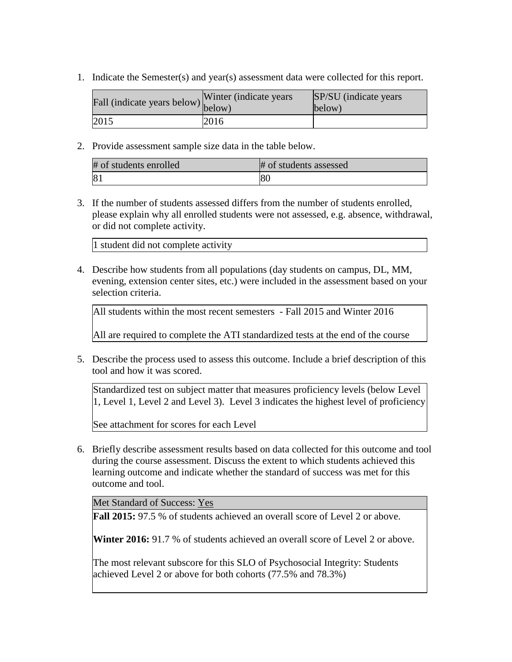1. Indicate the Semester(s) and year(s) assessment data were collected for this report.

| Fall (indicate years below) below) | Winter (indicate years) | SP/SU (indicate years)<br>below) |
|------------------------------------|-------------------------|----------------------------------|
| 2015                               | 2016                    |                                  |

2. Provide assessment sample size data in the table below.

| # of students enrolled | # of students assessed |
|------------------------|------------------------|
| 81                     | ιoι                    |

3. If the number of students assessed differs from the number of students enrolled, please explain why all enrolled students were not assessed, e.g. absence, withdrawal, or did not complete activity.

1 student did not complete activity

4. Describe how students from all populations (day students on campus, DL, MM, evening, extension center sites, etc.) were included in the assessment based on your selection criteria.

```
All students within the most recent semesters - Fall 2015 and Winter 2016
All are required to complete the ATI standardized tests at the end of the course
```
5. Describe the process used to assess this outcome. Include a brief description of this tool and how it was scored.

Standardized test on subject matter that measures proficiency levels (below Level 1, Level 1, Level 2 and Level 3). Level 3 indicates the highest level of proficiency

See attachment for scores for each Level

6. Briefly describe assessment results based on data collected for this outcome and tool during the course assessment. Discuss the extent to which students achieved this learning outcome and indicate whether the standard of success was met for this outcome and tool.

Met Standard of Success: Yes

**Fall 2015:** 97.5 % of students achieved an overall score of Level 2 or above.

**Winter 2016:** 91.7 % of students achieved an overall score of Level 2 or above.

The most relevant subscore for this SLO of Psychosocial Integrity: Students achieved Level 2 or above for both cohorts (77.5% and 78.3%)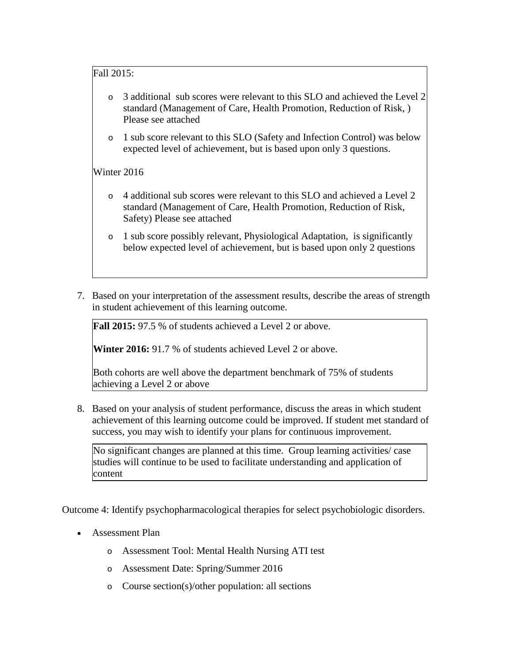## Fall 2015:

- 3 additional sub scores were relevant to this SLO and achieved the Level 2 standard (Management of Care, Health Promotion, Reduction of Risk, ) Please see attached
- 1 sub score relevant to this SLO (Safety and Infection Control) was below expected level of achievement, but is based upon only 3 questions.

# Winter 2016

- o 4 additional sub scores were relevant to this SLO and achieved a Level 2 standard (Management of Care, Health Promotion, Reduction of Risk, Safety) Please see attached
- o 1 sub score possibly relevant, Physiological Adaptation, is significantly below expected level of achievement, but is based upon only 2 questions
- 7. Based on your interpretation of the assessment results, describe the areas of strength in student achievement of this learning outcome.

**Fall 2015:** 97.5 % of students achieved a Level 2 or above.

**Winter 2016:** 91.7 % of students achieved Level 2 or above.

Both cohorts are well above the department benchmark of 75% of students achieving a Level 2 or above

8. Based on your analysis of student performance, discuss the areas in which student achievement of this learning outcome could be improved. If student met standard of success, you may wish to identify your plans for continuous improvement.

No significant changes are planned at this time. Group learning activities/ case studies will continue to be used to facilitate understanding and application of content

Outcome 4: Identify psychopharmacological therapies for select psychobiologic disorders.

- Assessment Plan
	- o Assessment Tool: Mental Health Nursing ATI test
	- o Assessment Date: Spring/Summer 2016
	- o Course section(s)/other population: all sections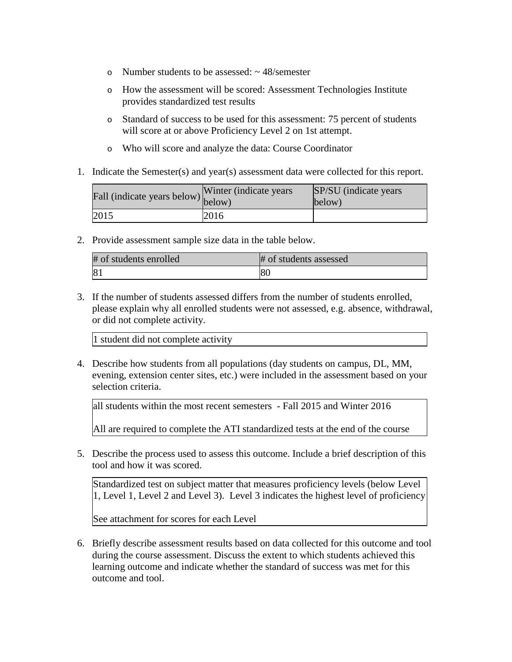- o Number students to be assessed:  $\sim$  48/semester
- o How the assessment will be scored: Assessment Technologies Institute provides standardized test results
- o Standard of success to be used for this assessment: 75 percent of students will score at or above Proficiency Level 2 on 1st attempt.
- o Who will score and analyze the data: Course Coordinator
- 1. Indicate the Semester(s) and year(s) assessment data were collected for this report.

| Fall (indicate years below) below) | Winter (indicate years) | SP/SU (indicate years)<br>below) |
|------------------------------------|-------------------------|----------------------------------|
| 2015                               | 2016                    |                                  |

2. Provide assessment sample size data in the table below.

| # of students enrolled | # of students assessed |
|------------------------|------------------------|
| $\mathbf{8}^{\circ}$   | 80                     |

3. If the number of students assessed differs from the number of students enrolled, please explain why all enrolled students were not assessed, e.g. absence, withdrawal, or did not complete activity.

1 student did not complete activity

4. Describe how students from all populations (day students on campus, DL, MM, evening, extension center sites, etc.) were included in the assessment based on your selection criteria.

all students within the most recent semesters - Fall 2015 and Winter 2016

All are required to complete the ATI standardized tests at the end of the course

5. Describe the process used to assess this outcome. Include a brief description of this tool and how it was scored.

Standardized test on subject matter that measures proficiency levels (below Level 1, Level 1, Level 2 and Level 3). Level 3 indicates the highest level of proficiency

See attachment for scores for each Level

6. Briefly describe assessment results based on data collected for this outcome and tool during the course assessment. Discuss the extent to which students achieved this learning outcome and indicate whether the standard of success was met for this outcome and tool.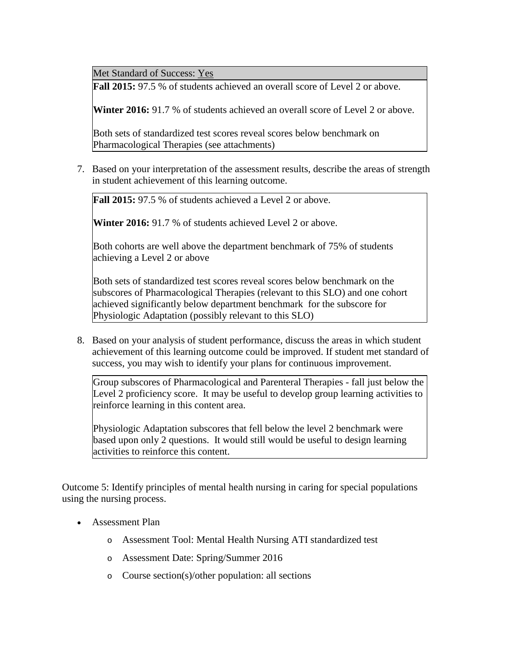Met Standard of Success: Yes

**Fall 2015:** 97.5 % of students achieved an overall score of Level 2 or above.

**Winter 2016:** 91.7 % of students achieved an overall score of Level 2 or above.

Both sets of standardized test scores reveal scores below benchmark on Pharmacological Therapies (see attachments)

7. Based on your interpretation of the assessment results, describe the areas of strength in student achievement of this learning outcome.

Fall 2015: 97.5 % of students achieved a Level 2 or above.

**Winter 2016:** 91.7 % of students achieved Level 2 or above.

Both cohorts are well above the department benchmark of 75% of students achieving a Level 2 or above

Both sets of standardized test scores reveal scores below benchmark on the subscores of Pharmacological Therapies (relevant to this SLO) and one cohort achieved significantly below department benchmark for the subscore for Physiologic Adaptation (possibly relevant to this SLO)

8. Based on your analysis of student performance, discuss the areas in which student achievement of this learning outcome could be improved. If student met standard of success, you may wish to identify your plans for continuous improvement.

Group subscores of Pharmacological and Parenteral Therapies - fall just below the Level 2 proficiency score. It may be useful to develop group learning activities to reinforce learning in this content area.

Physiologic Adaptation subscores that fell below the level 2 benchmark were based upon only 2 questions. It would still would be useful to design learning activities to reinforce this content.

Outcome 5: Identify principles of mental health nursing in caring for special populations using the nursing process.

- Assessment Plan
	- o Assessment Tool: Mental Health Nursing ATI standardized test
	- o Assessment Date: Spring/Summer 2016
	- o Course section(s)/other population: all sections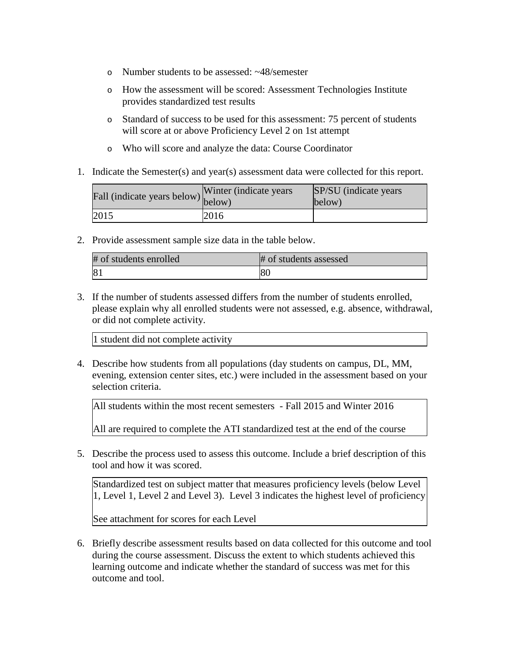- o Number students to be assessed: ~48/semester
- o How the assessment will be scored: Assessment Technologies Institute provides standardized test results
- o Standard of success to be used for this assessment: 75 percent of students will score at or above Proficiency Level 2 on 1st attempt
- o Who will score and analyze the data: Course Coordinator
- 1. Indicate the Semester(s) and year(s) assessment data were collected for this report.

| Fall (indicate years below) below) | Winter (indicate years) | SP/SU (indicate years)<br>below) |
|------------------------------------|-------------------------|----------------------------------|
| 2015                               | 2016                    |                                  |

2. Provide assessment sample size data in the table below.

| # of students enrolled | # of students assessed |
|------------------------|------------------------|
| $\sqrt{8}$             | 80                     |

3. If the number of students assessed differs from the number of students enrolled, please explain why all enrolled students were not assessed, e.g. absence, withdrawal, or did not complete activity.

1 student did not complete activity

4. Describe how students from all populations (day students on campus, DL, MM, evening, extension center sites, etc.) were included in the assessment based on your selection criteria.

All students within the most recent semesters - Fall 2015 and Winter 2016

All are required to complete the ATI standardized test at the end of the course

5. Describe the process used to assess this outcome. Include a brief description of this tool and how it was scored.

Standardized test on subject matter that measures proficiency levels (below Level 1, Level 1, Level 2 and Level 3). Level 3 indicates the highest level of proficiency

See attachment for scores for each Level

6. Briefly describe assessment results based on data collected for this outcome and tool during the course assessment. Discuss the extent to which students achieved this learning outcome and indicate whether the standard of success was met for this outcome and tool.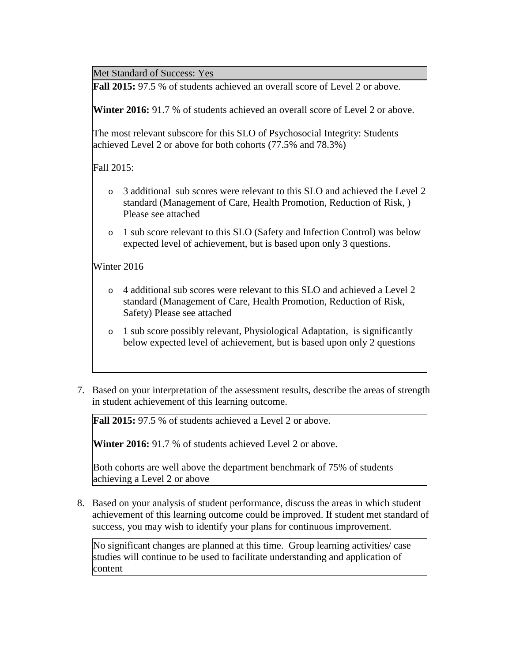Met Standard of Success: Yes

**Fall 2015:** 97.5 % of students achieved an overall score of Level 2 or above.

**Winter 2016:** 91.7 % of students achieved an overall score of Level 2 or above.

The most relevant subscore for this SLO of Psychosocial Integrity: Students achieved Level 2 or above for both cohorts (77.5% and 78.3%)

Fall 2015:

- o 3 additional sub scores were relevant to this SLO and achieved the Level 2 standard (Management of Care, Health Promotion, Reduction of Risk, ) Please see attached
- o 1 sub score relevant to this SLO (Safety and Infection Control) was below expected level of achievement, but is based upon only 3 questions.

Winter 2016

- o 4 additional sub scores were relevant to this SLO and achieved a Level 2 standard (Management of Care, Health Promotion, Reduction of Risk, Safety) Please see attached
- o 1 sub score possibly relevant, Physiological Adaptation, is significantly below expected level of achievement, but is based upon only 2 questions
- 7. Based on your interpretation of the assessment results, describe the areas of strength in student achievement of this learning outcome.

**Fall 2015:** 97.5 % of students achieved a Level 2 or above.

**Winter 2016:** 91.7 % of students achieved Level 2 or above.

Both cohorts are well above the department benchmark of 75% of students achieving a Level 2 or above

8. Based on your analysis of student performance, discuss the areas in which student achievement of this learning outcome could be improved. If student met standard of success, you may wish to identify your plans for continuous improvement.

No significant changes are planned at this time. Group learning activities/ case studies will continue to be used to facilitate understanding and application of content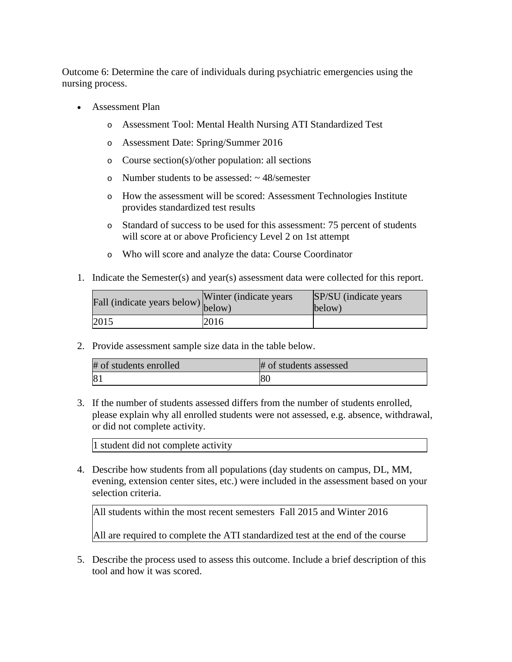Outcome 6: Determine the care of individuals during psychiatric emergencies using the nursing process.

- Assessment Plan
	- o Assessment Tool: Mental Health Nursing ATI Standardized Test
	- o Assessment Date: Spring/Summer 2016
	- o Course section(s)/other population: all sections
	- o Number students to be assessed:  $\sim$  48/semester
	- o How the assessment will be scored: Assessment Technologies Institute provides standardized test results
	- o Standard of success to be used for this assessment: 75 percent of students will score at or above Proficiency Level 2 on 1st attempt
	- o Who will score and analyze the data: Course Coordinator
- 1. Indicate the Semester(s) and year(s) assessment data were collected for this report.

| r'all (indicate years below) below) | Winter (indicate years) | SP/SU (indicate years)<br>below) |
|-------------------------------------|-------------------------|----------------------------------|
| 2015                                | 2016                    |                                  |

2. Provide assessment sample size data in the table below.

| # of students enrolled | # of students assessed |
|------------------------|------------------------|
| 81                     | 18U                    |

3. If the number of students assessed differs from the number of students enrolled, please explain why all enrolled students were not assessed, e.g. absence, withdrawal, or did not complete activity.

1 student did not complete activity

4. Describe how students from all populations (day students on campus, DL, MM, evening, extension center sites, etc.) were included in the assessment based on your selection criteria.

All students within the most recent semesters Fall 2015 and Winter 2016

All are required to complete the ATI standardized test at the end of the course

5. Describe the process used to assess this outcome. Include a brief description of this tool and how it was scored.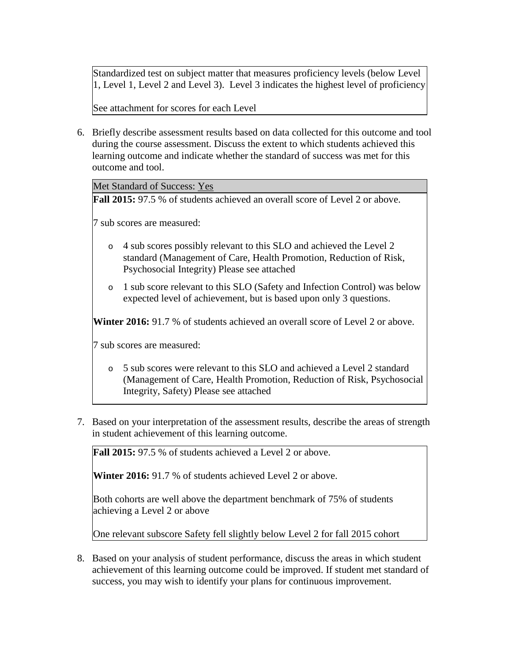Standardized test on subject matter that measures proficiency levels (below Level 1, Level 1, Level 2 and Level 3). Level 3 indicates the highest level of proficiency

See attachment for scores for each Level

6. Briefly describe assessment results based on data collected for this outcome and tool during the course assessment. Discuss the extent to which students achieved this learning outcome and indicate whether the standard of success was met for this outcome and tool.

Met Standard of Success: Yes

**Fall 2015:** 97.5 % of students achieved an overall score of Level 2 or above.

7 sub scores are measured:

- o 4 sub scores possibly relevant to this SLO and achieved the Level 2 standard (Management of Care, Health Promotion, Reduction of Risk, Psychosocial Integrity) Please see attached
- o 1 sub score relevant to this SLO (Safety and Infection Control) was below expected level of achievement, but is based upon only 3 questions.

**Winter 2016:** 91.7 % of students achieved an overall score of Level 2 or above.

7 sub scores are measured:

- o 5 sub scores were relevant to this SLO and achieved a Level 2 standard (Management of Care, Health Promotion, Reduction of Risk, Psychosocial Integrity, Safety) Please see attached
- 7. Based on your interpretation of the assessment results, describe the areas of strength in student achievement of this learning outcome.

**Fall 2015:** 97.5 % of students achieved a Level 2 or above.

**Winter 2016:** 91.7 % of students achieved Level 2 or above.

Both cohorts are well above the department benchmark of 75% of students achieving a Level 2 or above

One relevant subscore Safety fell slightly below Level 2 for fall 2015 cohort

8. Based on your analysis of student performance, discuss the areas in which student achievement of this learning outcome could be improved. If student met standard of success, you may wish to identify your plans for continuous improvement.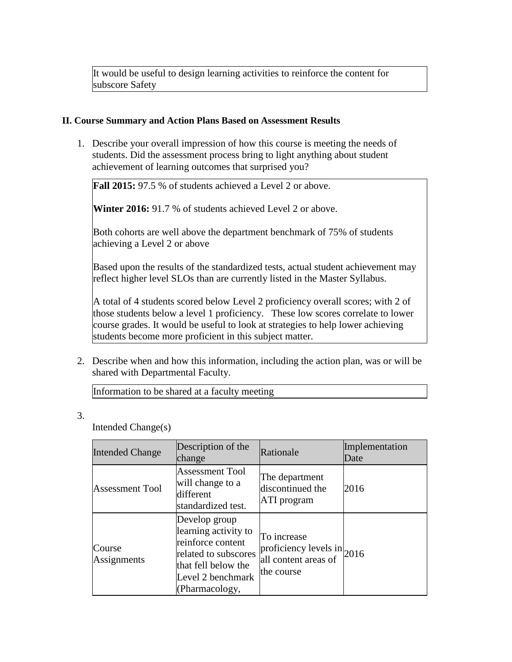It would be useful to design learning activities to reinforce the content for subscore Safety

### **II. Course Summary and Action Plans Based on Assessment Results**

1. Describe your overall impression of how this course is meeting the needs of students. Did the assessment process bring to light anything about student achievement of learning outcomes that surprised you?

**Fall 2015:** 97.5 % of students achieved a Level 2 or above.

**Winter 2016:** 91.7 % of students achieved Level 2 or above.

Both cohorts are well above the department benchmark of 75% of students achieving a Level 2 or above

Based upon the results of the standardized tests, actual student achievement may reflect higher level SLOs than are currently listed in the Master Syllabus.

A total of 4 students scored below Level 2 proficiency overall scores; with 2 of those students below a level 1 proficiency. These low scores correlate to lower course grades. It would be useful to look at strategies to help lower achieving students become more proficient in this subject matter.

2. Describe when and how this information, including the action plan, was or will be shared with Departmental Faculty.

Information to be shared at a faculty meeting

3.

Intended Change(s)

| <b>Intended Change</b> | Description of the<br>change                                                                                                                     | Rationale                                                                            | Implementation<br>Date |
|------------------------|--------------------------------------------------------------------------------------------------------------------------------------------------|--------------------------------------------------------------------------------------|------------------------|
| <b>Assessment Tool</b> | <b>Assessment Tool</b><br>will change to a<br>different<br>standardized test.                                                                    | The department<br>discontinued the<br>ATI program                                    | 2016                   |
| Course<br>Assignments  | Develop group<br>learning activity to<br>reinforce content<br>related to subscores<br>that fell below the<br>Level 2 benchmark<br>(Pharmacology, | To increase<br>proficiency levels in $_{2016}$<br>all content areas of<br>the course |                        |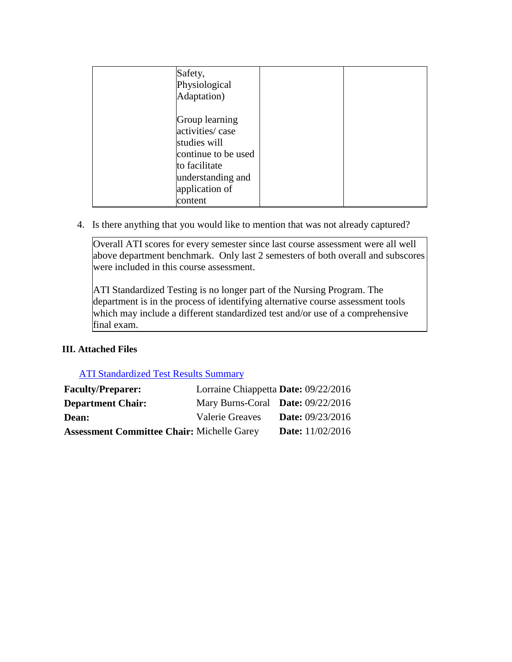| Safety,<br>Physiological<br>Adaptation)                                                         |                                          |  |
|-------------------------------------------------------------------------------------------------|------------------------------------------|--|
| Group learning<br>activities/case<br>studies will<br>to facilitate<br>application of<br>content | continue to be used<br>understanding and |  |

4. Is there anything that you would like to mention that was not already captured?

Overall ATI scores for every semester since last course assessment were all well above department benchmark. Only last 2 semesters of both overall and subscores were included in this course assessment.

ATI Standardized Testing is no longer part of the Nursing Program. The department is in the process of identifying alternative course assessment tools which may include a different standardized test and/or use of a comprehensive final exam.

# **III. Attached Files**

# ATI Standardized Test Results Summary

| <b>Faculty/Preparer:</b>                          | Lorraine Chiappetta Date: 09/22/2016 |                           |
|---------------------------------------------------|--------------------------------------|---------------------------|
| <b>Department Chair:</b>                          | Mary Burns-Coral Date: 09/22/2016    |                           |
| <b>Dean:</b>                                      | <b>Valerie Greaves</b>               | <b>Date:</b> 09/23/2016   |
| <b>Assessment Committee Chair: Michelle Garey</b> |                                      | <b>Date:</b> $11/02/2016$ |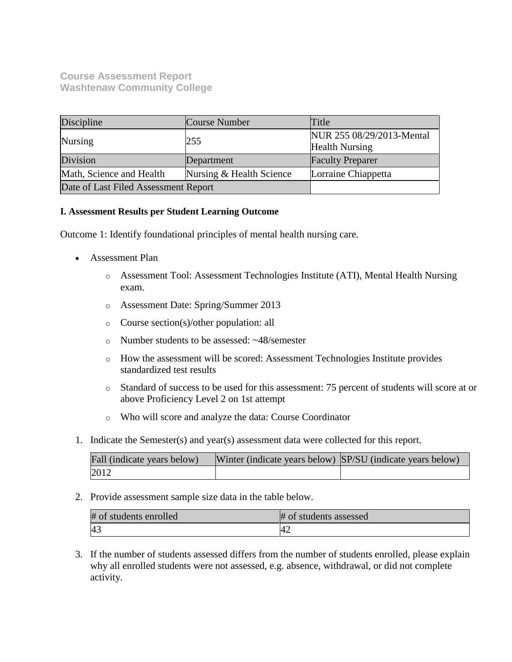# **Course Assessment Report Washtenaw Community College**

| Discipline                           | Course Number            | Title                                              |
|--------------------------------------|--------------------------|----------------------------------------------------|
| Nursing                              | 255                      | NUR 255 08/29/2013-Mental<br><b>Health Nursing</b> |
| Division                             | Department               | <b>Faculty Preparer</b>                            |
| Math, Science and Health             | Nursing & Health Science | Lorraine Chiappetta                                |
| Date of Last Filed Assessment Report |                          |                                                    |

## **I. Assessment Results per Student Learning Outcome**

Outcome 1: Identify foundational principles of mental health nursing care.

- Assessment Plan
	- o Assessment Tool: Assessment Technologies Institute (ATI), Mental Health Nursing exam.
	- o Assessment Date: Spring/Summer 2013
	- o Course section(s)/other population: all
	- o Number students to be assessed: ~48/semester
	- o How the assessment will be scored: Assessment Technologies Institute provides standardized test results
	- o Standard of success to be used for this assessment: 75 percent of students will score at or above Proficiency Level 2 on 1st attempt
	- o Who will score and analyze the data: Course Coordinator
- 1. Indicate the Semester(s) and year(s) assessment data were collected for this report.

| Fall (indicate years below) | Winter (indicate years below) SP/SU (indicate years below) |  |
|-----------------------------|------------------------------------------------------------|--|
| 2012                        |                                                            |  |

2. Provide assessment sample size data in the table below.

| # of students enrolled | # of students assessed |
|------------------------|------------------------|
| 4.                     | 42                     |

3. If the number of students assessed differs from the number of students enrolled, please explain why all enrolled students were not assessed, e.g. absence, withdrawal, or did not complete activity.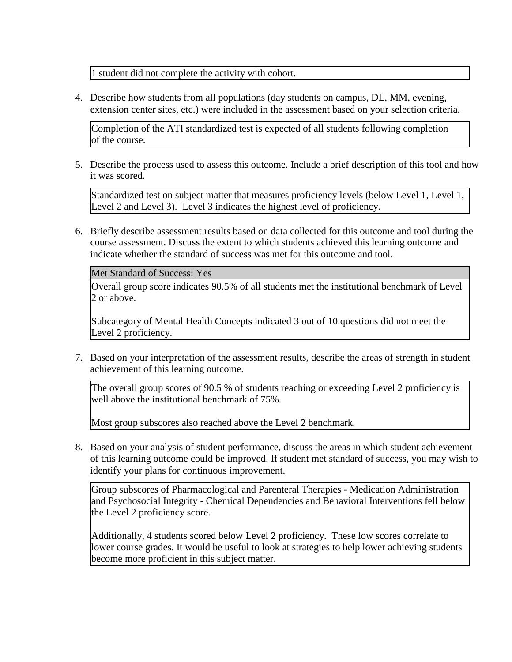1 student did not complete the activity with cohort.

4. Describe how students from all populations (day students on campus, DL, MM, evening, extension center sites, etc.) were included in the assessment based on your selection criteria.

Completion of the ATI standardized test is expected of all students following completion of the course.

5. Describe the process used to assess this outcome. Include a brief description of this tool and how it was scored.

Standardized test on subject matter that measures proficiency levels (below Level 1, Level 1, Level 2 and Level 3). Level 3 indicates the highest level of proficiency.

6. Briefly describe assessment results based on data collected for this outcome and tool during the course assessment. Discuss the extent to which students achieved this learning outcome and indicate whether the standard of success was met for this outcome and tool.

Met Standard of Success: Yes

Overall group score indicates 90.5% of all students met the institutional benchmark of Level 2 or above.

Subcategory of Mental Health Concepts indicated 3 out of 10 questions did not meet the Level 2 proficiency.

7. Based on your interpretation of the assessment results, describe the areas of strength in student achievement of this learning outcome.

The overall group scores of 90.5 % of students reaching or exceeding Level 2 proficiency is well above the institutional benchmark of 75%.

Most group subscores also reached above the Level 2 benchmark.

8. Based on your analysis of student performance, discuss the areas in which student achievement of this learning outcome could be improved. If student met standard of success, you may wish to identify your plans for continuous improvement.

Group subscores of Pharmacological and Parenteral Therapies - Medication Administration and Psychosocial Integrity - Chemical Dependencies and Behavioral Interventions fell below the Level 2 proficiency score.

Additionally, 4 students scored below Level 2 proficiency. These low scores correlate to lower course grades. It would be useful to look at strategies to help lower achieving students become more proficient in this subject matter.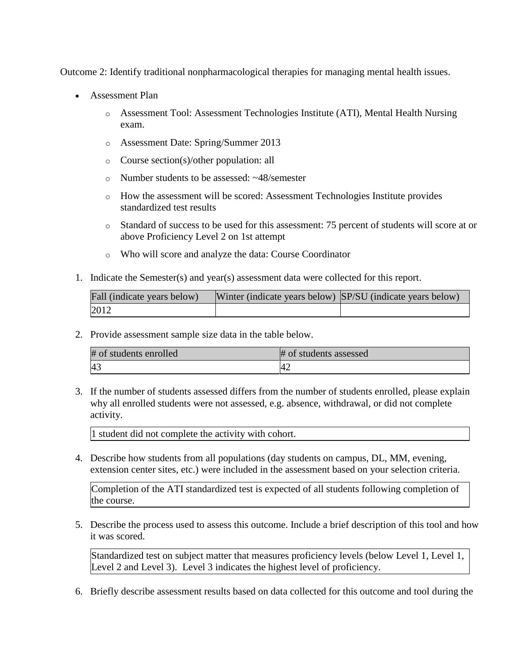Outcome 2: Identify traditional nonpharmacological therapies for managing mental health issues.

- Assessment Plan
	- o Assessment Tool: Assessment Technologies Institute (ATI), Mental Health Nursing exam.
	- o Assessment Date: Spring/Summer 2013
	- o Course section(s)/other population: all
	- o Number students to be assessed: ~48/semester
	- o How the assessment will be scored: Assessment Technologies Institute provides standardized test results
	- o Standard of success to be used for this assessment: 75 percent of students will score at or above Proficiency Level 2 on 1st attempt
	- o Who will score and analyze the data: Course Coordinator
- 1. Indicate the Semester(s) and year(s) assessment data were collected for this report.

| Fall (indicate years below) | Winter (indicate years below) SP/SU (indicate years below) |  |
|-----------------------------|------------------------------------------------------------|--|
| 2012                        |                                                            |  |

2. Provide assessment sample size data in the table below.

| # of students enrolled | # of students assessed |
|------------------------|------------------------|
| 4 <sup>3</sup>         | 42                     |

3. If the number of students assessed differs from the number of students enrolled, please explain why all enrolled students were not assessed, e.g. absence, withdrawal, or did not complete activity.

1 student did not complete the activity with cohort.

4. Describe how students from all populations (day students on campus, DL, MM, evening, extension center sites, etc.) were included in the assessment based on your selection criteria.

Completion of the ATI standardized test is expected of all students following completion of the course.

5. Describe the process used to assess this outcome. Include a brief description of this tool and how it was scored.

Standardized test on subject matter that measures proficiency levels (below Level 1, Level 1, Level 2 and Level 3). Level 3 indicates the highest level of proficiency.

6. Briefly describe assessment results based on data collected for this outcome and tool during the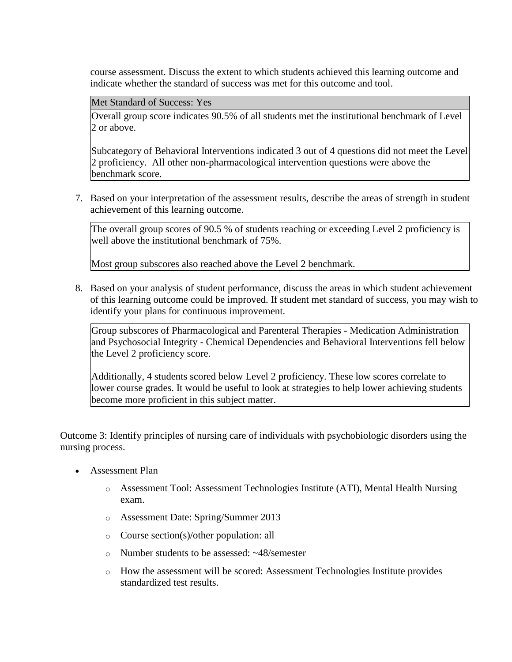course assessment. Discuss the extent to which students achieved this learning outcome and indicate whether the standard of success was met for this outcome and tool.

Met Standard of Success: Yes

Overall group score indicates 90.5% of all students met the institutional benchmark of Level 2 or above.

Subcategory of Behavioral Interventions indicated 3 out of 4 questions did not meet the Level 2 proficiency. All other non-pharmacological intervention questions were above the benchmark score.

7. Based on your interpretation of the assessment results, describe the areas of strength in student achievement of this learning outcome.

The overall group scores of 90.5 % of students reaching or exceeding Level 2 proficiency is well above the institutional benchmark of 75%.

Most group subscores also reached above the Level 2 benchmark.

8. Based on your analysis of student performance, discuss the areas in which student achievement of this learning outcome could be improved. If student met standard of success, you may wish to identify your plans for continuous improvement.

Group subscores of Pharmacological and Parenteral Therapies - Medication Administration and Psychosocial Integrity - Chemical Dependencies and Behavioral Interventions fell below the Level 2 proficiency score.

Additionally, 4 students scored below Level 2 proficiency. These low scores correlate to lower course grades. It would be useful to look at strategies to help lower achieving students become more proficient in this subject matter.

Outcome 3: Identify principles of nursing care of individuals with psychobiologic disorders using the nursing process.

- Assessment Plan
	- o Assessment Tool: Assessment Technologies Institute (ATI), Mental Health Nursing exam.
	- o Assessment Date: Spring/Summer 2013
	- o Course section(s)/other population: all
	- o Number students to be assessed: ~48/semester
	- o How the assessment will be scored: Assessment Technologies Institute provides standardized test results.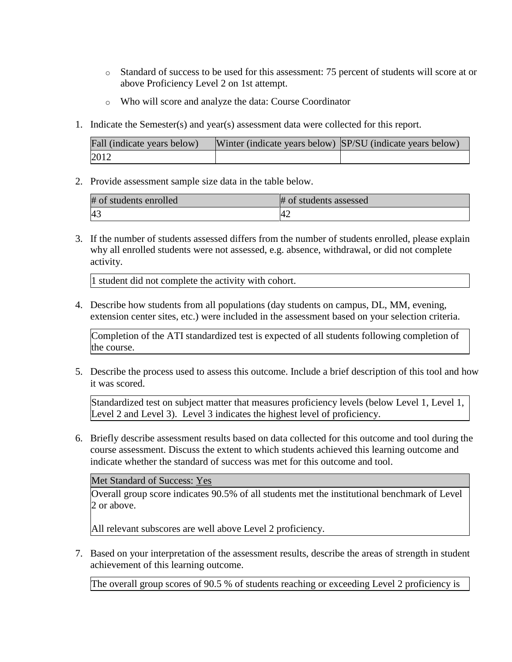- o Standard of success to be used for this assessment: 75 percent of students will score at or above Proficiency Level 2 on 1st attempt.
- o Who will score and analyze the data: Course Coordinator
- 1. Indicate the Semester(s) and year(s) assessment data were collected for this report.

| Fall (indicate years below) | Winter (indicate years below) SP/SU (indicate years below) |  |
|-----------------------------|------------------------------------------------------------|--|
| 2012                        |                                                            |  |

2. Provide assessment sample size data in the table below.

| # of students enrolled | # of students assessed |
|------------------------|------------------------|
| 43                     | 4'                     |

3. If the number of students assessed differs from the number of students enrolled, please explain why all enrolled students were not assessed, e.g. absence, withdrawal, or did not complete activity.

1 student did not complete the activity with cohort.

4. Describe how students from all populations (day students on campus, DL, MM, evening, extension center sites, etc.) were included in the assessment based on your selection criteria.

Completion of the ATI standardized test is expected of all students following completion of the course.

5. Describe the process used to assess this outcome. Include a brief description of this tool and how it was scored.

Standardized test on subject matter that measures proficiency levels (below Level 1, Level 1, Level 2 and Level 3). Level 3 indicates the highest level of proficiency.

6. Briefly describe assessment results based on data collected for this outcome and tool during the course assessment. Discuss the extent to which students achieved this learning outcome and indicate whether the standard of success was met for this outcome and tool.

Met Standard of Success: Yes

Overall group score indicates 90.5% of all students met the institutional benchmark of Level 2 or above.

All relevant subscores are well above Level 2 proficiency.

7. Based on your interpretation of the assessment results, describe the areas of strength in student achievement of this learning outcome.

The overall group scores of 90.5 % of students reaching or exceeding Level 2 proficiency is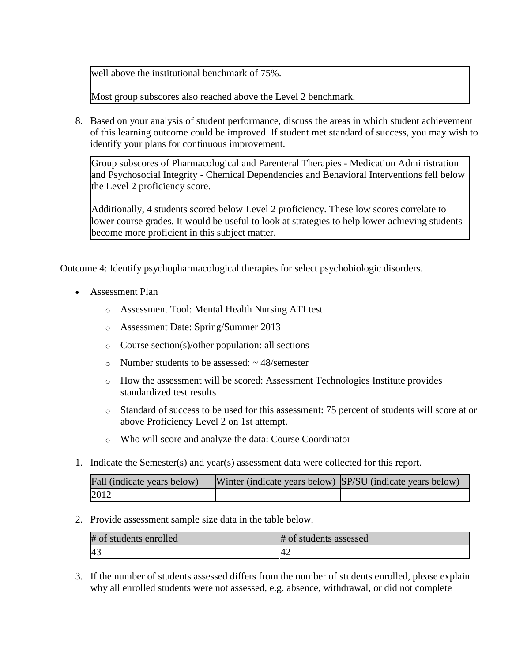well above the institutional benchmark of 75%.

Most group subscores also reached above the Level 2 benchmark.

8. Based on your analysis of student performance, discuss the areas in which student achievement of this learning outcome could be improved. If student met standard of success, you may wish to identify your plans for continuous improvement.

Group subscores of Pharmacological and Parenteral Therapies - Medication Administration and Psychosocial Integrity - Chemical Dependencies and Behavioral Interventions fell below the Level 2 proficiency score.

Additionally, 4 students scored below Level 2 proficiency. These low scores correlate to lower course grades. It would be useful to look at strategies to help lower achieving students become more proficient in this subject matter.

Outcome 4: Identify psychopharmacological therapies for select psychobiologic disorders.

- Assessment Plan
	- o Assessment Tool: Mental Health Nursing ATI test
	- o Assessment Date: Spring/Summer 2013
	- o Course section(s)/other population: all sections
	- $\circ$  Number students to be assessed:  $\sim$  48/semester
	- o How the assessment will be scored: Assessment Technologies Institute provides standardized test results
	- o Standard of success to be used for this assessment: 75 percent of students will score at or above Proficiency Level 2 on 1st attempt.
	- o Who will score and analyze the data: Course Coordinator
- 1. Indicate the Semester(s) and year(s) assessment data were collected for this report.

| Fall (indicate years below) | Winter (indicate years below) SP/SU (indicate years below) |  |
|-----------------------------|------------------------------------------------------------|--|
| 2012                        |                                                            |  |

2. Provide assessment sample size data in the table below.

| # of students enrolled | # of students assessed |
|------------------------|------------------------|
| -43                    |                        |

3. If the number of students assessed differs from the number of students enrolled, please explain why all enrolled students were not assessed, e.g. absence, withdrawal, or did not complete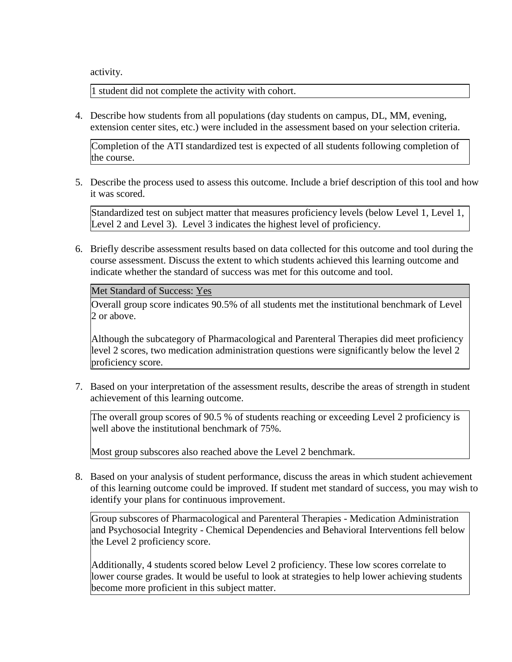activity.

1 student did not complete the activity with cohort.

4. Describe how students from all populations (day students on campus, DL, MM, evening, extension center sites, etc.) were included in the assessment based on your selection criteria.

Completion of the ATI standardized test is expected of all students following completion of the course.

5. Describe the process used to assess this outcome. Include a brief description of this tool and how it was scored.

Standardized test on subject matter that measures proficiency levels (below Level 1, Level 1, Level 2 and Level 3). Level 3 indicates the highest level of proficiency.

6. Briefly describe assessment results based on data collected for this outcome and tool during the course assessment. Discuss the extent to which students achieved this learning outcome and indicate whether the standard of success was met for this outcome and tool.

Met Standard of Success: Yes

Overall group score indicates 90.5% of all students met the institutional benchmark of Level 2 or above.

Although the subcategory of Pharmacological and Parenteral Therapies did meet proficiency level 2 scores, two medication administration questions were significantly below the level 2 proficiency score.

7. Based on your interpretation of the assessment results, describe the areas of strength in student achievement of this learning outcome.

The overall group scores of 90.5 % of students reaching or exceeding Level 2 proficiency is well above the institutional benchmark of 75%.

Most group subscores also reached above the Level 2 benchmark.

8. Based on your analysis of student performance, discuss the areas in which student achievement of this learning outcome could be improved. If student met standard of success, you may wish to identify your plans for continuous improvement.

Group subscores of Pharmacological and Parenteral Therapies - Medication Administration and Psychosocial Integrity - Chemical Dependencies and Behavioral Interventions fell below the Level 2 proficiency score.

Additionally, 4 students scored below Level 2 proficiency. These low scores correlate to lower course grades. It would be useful to look at strategies to help lower achieving students become more proficient in this subject matter.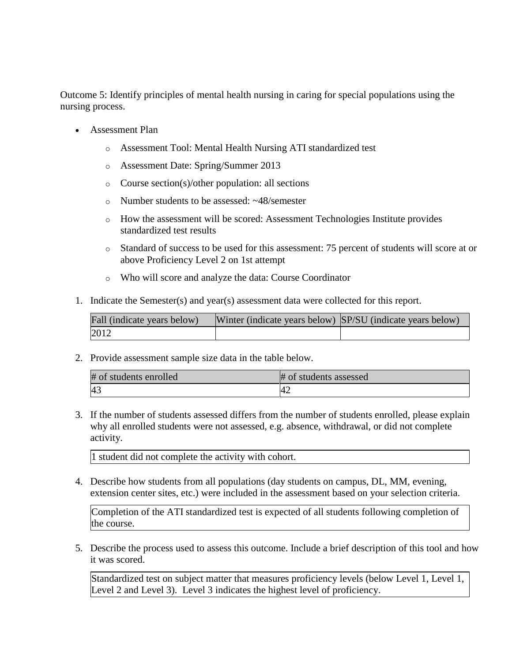Outcome 5: Identify principles of mental health nursing in caring for special populations using the nursing process.

- Assessment Plan
	- o Assessment Tool: Mental Health Nursing ATI standardized test
	- o Assessment Date: Spring/Summer 2013
	- o Course section(s)/other population: all sections
	- o Number students to be assessed: ~48/semester
	- o How the assessment will be scored: Assessment Technologies Institute provides standardized test results
	- o Standard of success to be used for this assessment: 75 percent of students will score at or above Proficiency Level 2 on 1st attempt
	- o Who will score and analyze the data: Course Coordinator
- 1. Indicate the Semester(s) and year(s) assessment data were collected for this report.

| Fall (indicate years below) | Winter (indicate years below) SP/SU (indicate years below) |  |
|-----------------------------|------------------------------------------------------------|--|
| 2012                        |                                                            |  |

2. Provide assessment sample size data in the table below.

| # of students enrolled | # of students assessed |
|------------------------|------------------------|
| $\overline{A}$         | 4 <sub>4</sub>         |

3. If the number of students assessed differs from the number of students enrolled, please explain why all enrolled students were not assessed, e.g. absence, withdrawal, or did not complete activity.

1 student did not complete the activity with cohort.

4. Describe how students from all populations (day students on campus, DL, MM, evening, extension center sites, etc.) were included in the assessment based on your selection criteria.

Completion of the ATI standardized test is expected of all students following completion of the course.

5. Describe the process used to assess this outcome. Include a brief description of this tool and how it was scored.

Standardized test on subject matter that measures proficiency levels (below Level 1, Level 1, Level 2 and Level 3). Level 3 indicates the highest level of proficiency.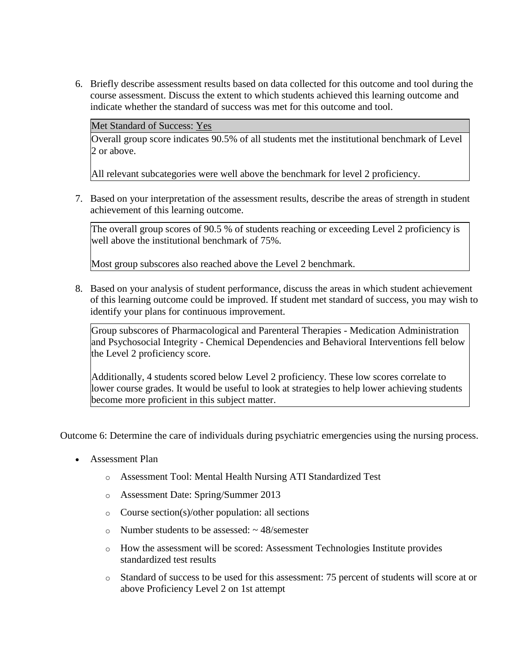6. Briefly describe assessment results based on data collected for this outcome and tool during the course assessment. Discuss the extent to which students achieved this learning outcome and indicate whether the standard of success was met for this outcome and tool.

Met Standard of Success: Yes

Overall group score indicates 90.5% of all students met the institutional benchmark of Level 2 or above.

All relevant subcategories were well above the benchmark for level 2 proficiency.

7. Based on your interpretation of the assessment results, describe the areas of strength in student achievement of this learning outcome.

The overall group scores of 90.5 % of students reaching or exceeding Level 2 proficiency is well above the institutional benchmark of 75%.

Most group subscores also reached above the Level 2 benchmark.

8. Based on your analysis of student performance, discuss the areas in which student achievement of this learning outcome could be improved. If student met standard of success, you may wish to identify your plans for continuous improvement.

Group subscores of Pharmacological and Parenteral Therapies - Medication Administration and Psychosocial Integrity - Chemical Dependencies and Behavioral Interventions fell below the Level 2 proficiency score.

Additionally, 4 students scored below Level 2 proficiency. These low scores correlate to lower course grades. It would be useful to look at strategies to help lower achieving students become more proficient in this subject matter.

Outcome 6: Determine the care of individuals during psychiatric emergencies using the nursing process.

- Assessment Plan
	- o Assessment Tool: Mental Health Nursing ATI Standardized Test
	- o Assessment Date: Spring/Summer 2013
	- o Course section(s)/other population: all sections
	- $\circ$  Number students to be assessed:  $\sim$  48/semester
	- o How the assessment will be scored: Assessment Technologies Institute provides standardized test results
	- o Standard of success to be used for this assessment: 75 percent of students will score at or above Proficiency Level 2 on 1st attempt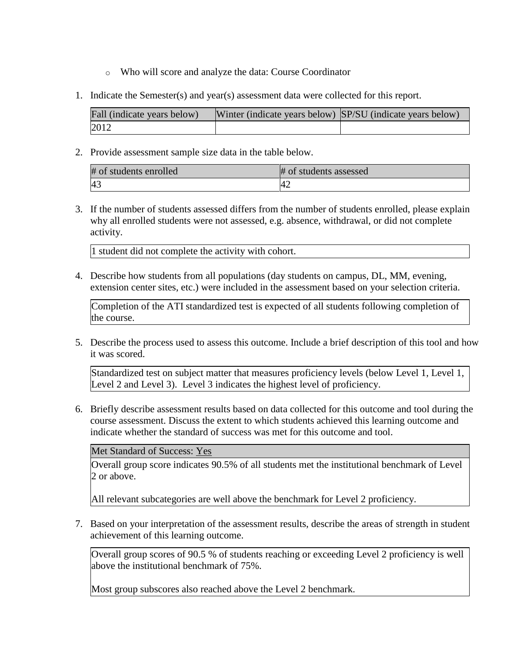- o Who will score and analyze the data: Course Coordinator
- 1. Indicate the Semester(s) and year(s) assessment data were collected for this report.

| Fall (indicate years below) | Winter (indicate years below) SP/SU (indicate years below) |  |
|-----------------------------|------------------------------------------------------------|--|
| 2012                        |                                                            |  |

2. Provide assessment sample size data in the table below.

| # of students enrolled | # of students assessed |
|------------------------|------------------------|
| 43                     | $4_{\sim}$             |

3. If the number of students assessed differs from the number of students enrolled, please explain why all enrolled students were not assessed, e.g. absence, withdrawal, or did not complete activity.

1 student did not complete the activity with cohort.

4. Describe how students from all populations (day students on campus, DL, MM, evening, extension center sites, etc.) were included in the assessment based on your selection criteria.

Completion of the ATI standardized test is expected of all students following completion of the course.

5. Describe the process used to assess this outcome. Include a brief description of this tool and how it was scored.

Standardized test on subject matter that measures proficiency levels (below Level 1, Level 1, Level 2 and Level 3). Level 3 indicates the highest level of proficiency.

6. Briefly describe assessment results based on data collected for this outcome and tool during the course assessment. Discuss the extent to which students achieved this learning outcome and indicate whether the standard of success was met for this outcome and tool.

Met Standard of Success: Yes

Overall group score indicates 90.5% of all students met the institutional benchmark of Level 2 or above.

All relevant subcategories are well above the benchmark for Level 2 proficiency.

7. Based on your interpretation of the assessment results, describe the areas of strength in student achievement of this learning outcome.

Overall group scores of 90.5 % of students reaching or exceeding Level 2 proficiency is well above the institutional benchmark of 75%.

Most group subscores also reached above the Level 2 benchmark.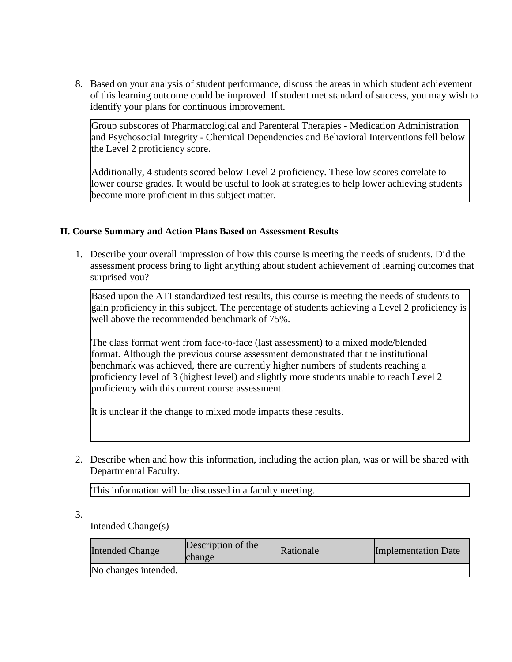8. Based on your analysis of student performance, discuss the areas in which student achievement of this learning outcome could be improved. If student met standard of success, you may wish to identify your plans for continuous improvement.

Group subscores of Pharmacological and Parenteral Therapies - Medication Administration and Psychosocial Integrity - Chemical Dependencies and Behavioral Interventions fell below the Level 2 proficiency score.

Additionally, 4 students scored below Level 2 proficiency. These low scores correlate to lower course grades. It would be useful to look at strategies to help lower achieving students become more proficient in this subject matter.

## **II. Course Summary and Action Plans Based on Assessment Results**

1. Describe your overall impression of how this course is meeting the needs of students. Did the assessment process bring to light anything about student achievement of learning outcomes that surprised you?

Based upon the ATI standardized test results, this course is meeting the needs of students to gain proficiency in this subject. The percentage of students achieving a Level 2 proficiency is well above the recommended benchmark of 75%.

The class format went from face-to-face (last assessment) to a mixed mode/blended format. Although the previous course assessment demonstrated that the institutional benchmark was achieved, there are currently higher numbers of students reaching a proficiency level of 3 (highest level) and slightly more students unable to reach Level 2 proficiency with this current course assessment.

It is unclear if the change to mixed mode impacts these results.

2. Describe when and how this information, including the action plan, was or will be shared with Departmental Faculty.

This information will be discussed in a faculty meeting.

3.

Intended Change(s)

| <b>Intended Change</b> | Description of the<br>change | Rationale | Implementation Date |
|------------------------|------------------------------|-----------|---------------------|
| No changes intended.   |                              |           |                     |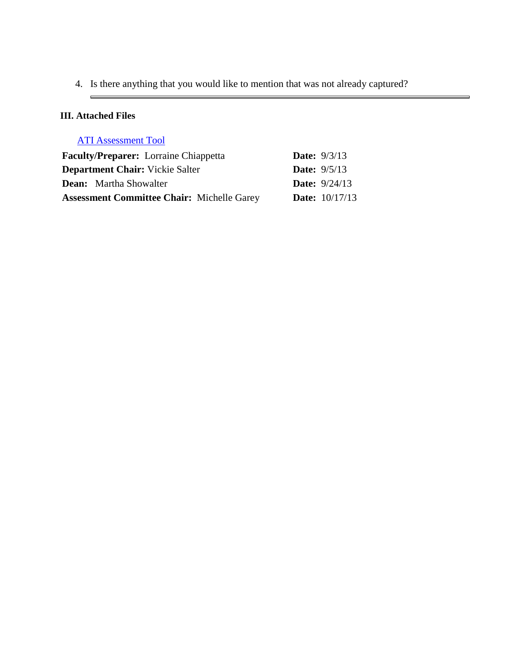4. Is there anything that you would like to mention that was not already captured?

# **III. Attached Files**

 $\blacksquare$ 

| <b>ATI Assessment Tool</b> |  |
|----------------------------|--|
|                            |  |

| <b>Faculty/Preparer:</b> Lorraine Chiappetta      | <b>Date:</b> $9/3/13$  |
|---------------------------------------------------|------------------------|
| <b>Department Chair:</b> Vickie Salter            | <b>Date:</b> $9/5/13$  |
| <b>Dean:</b> Martha Showalter                     | <b>Date:</b> $9/24/13$ |
| <b>Assessment Committee Chair:</b> Michelle Garey | <b>Date:</b> 10/17/13  |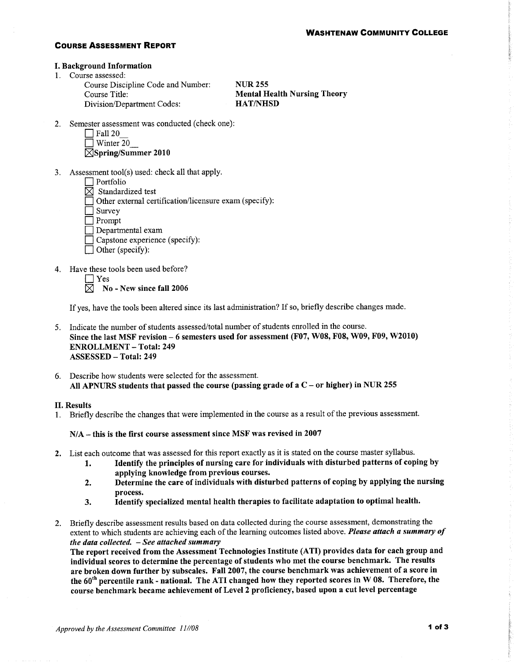### **COURSE ASSESSMENT REPORT**

#### **I. Background Information**

1. Course assessed:

Course Discipline Code and Number: Course Title: Division/Department Codes:

**NUR 255 Mental Health Nursing Theory HAT/NHSD** 

2. Semester assessment was conducted (check one):

| <b>Fall 20</b> |
|----------------|
| $W$ intor      |

| $\perp$ w must $\angle$ |  |
|-------------------------|--|
| ⊠Spring/Summer 2010     |  |

- 3. Assessment tool(s) used: check all that apply.
	- $\Box$  Portfolio
	- $\boxtimes$  Standardized test
	- $\Box$  Other external certification/licensure exam (specify):
	- $\Box$  Survey
	- $\Box$  Prompt
	- $\Box$  Departmental exam
	- $\Box$  Capstone experience (specify):
	- $\Box$  Other (specify):
- 4. Have these tools been used before?
	- $\Box$  Yes

⊠

No - New since fall 2006

If yes, have the tools been altered since its last administration? If so, briefly describe changes made.

- 5. Indicate the number of students assessed/total number of students enrolled in the course. Since the last MSF revision – 6 semesters used for assessment (F07, W08, F08, W09, F09, W2010) **ENROLLMENT - Total: 249 ASSESSED - Total: 249**
- 6. Describe how students were selected for the assessment. All APNURS students that passed the course (passing grade of a  $C$  – or higher) in NUR 255

### **II. Results**

1. Briefly describe the changes that were implemented in the course as a result of the previous assessment.

### $N/A$  – this is the first course assessment since MSF was revised in 2007

- 2. List each outcome that was assessed for this report exactly as it is stated on the course master syllabus.
	- Identify the principles of nursing care for individuals with disturbed patterns of coping by 1. applying knowledge from previous courses.
	- Determine the care of individuals with disturbed patterns of coping by applying the nursing  $2.$ process.
	- 3. Identify specialized mental health therapies to facilitate adaptation to optimal health.
- 2. Briefly describe assessment results based on data collected during the course assessment, demonstrating the extent to which students are achieving each of the learning outcomes listed above. Please attach a summary of the data collected.  $-$  See attached summary

The report received from the Assessment Technologies Institute (ATI) provides data for each group and individual scores to determine the percentage of students who met the course benchmark. The results are broken down further by subscales. Fall 2007, the course benchmark was achievement of a score in the 60<sup>th</sup> percentile rank - national. The ATI changed how they reported scores in W 08. Therefore, the course benchmark became achievement of Level 2 proficiency, based upon a cut level percentage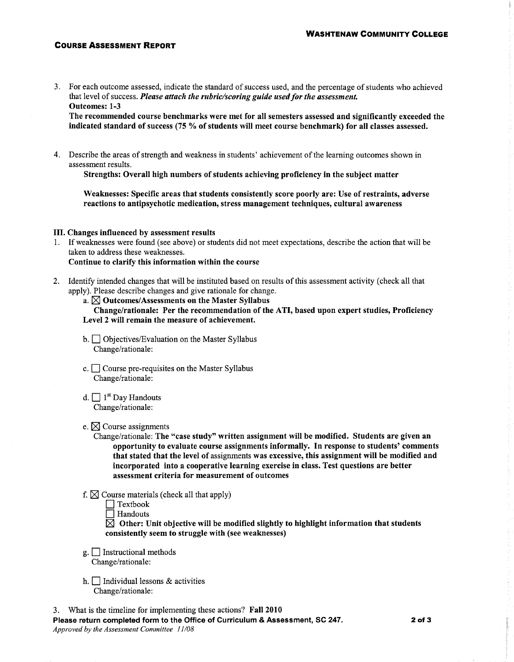### **COURSE ASSESSMENT REPORT**

3. For each outcome assessed, indicate the standard of success used, and the percentage of students who achieved that level of success. Please attach the rubric/scoring guide used for the assessment. **Outcomes: 1-3** 

The recommended course benchmarks were met for all semesters assessed and significantly exceeded the indicated standard of success (75 % of students will meet course benchmark) for all classes assessed.

4. Describe the areas of strength and weakness in students' achievement of the learning outcomes shown in assessment results.

Strengths: Overall high numbers of students achieving proficiency in the subject matter

Weaknesses: Specific areas that students consistently score poorly are: Use of restraints, adverse reactions to antipsychotic medication, stress management techniques, cultural awareness

### III. Changes influenced by assessment results

- 1. If weaknesses were found (see above) or students did not meet expectations, describe the action that will be taken to address these weaknesses. Continue to clarify this information within the course
- 2. Identify intended changes that will be instituted based on results of this assessment activity (check all that apply). Please describe changes and give rationale for change.
	- a.  $\boxtimes$  Outcomes/Assessments on the Master Syllabus

Change/rationale: Per the recommendation of the ATI, based upon expert studies, Proficiency Level 2 will remain the measure of achievement.

- b. Objectives/Evaluation on the Master Syllabus Change/rationale:
- c.  $\Box$  Course pre-requisites on the Master Syllabus Change/rationale:
- d.  $\Box$  1<sup>st</sup> Day Handouts Change/rationale:

### e.  $\boxtimes$  Course assignments

Change/rationale: The "case study" written assignment will be modified. Students are given an opportunity to evaluate course assignments informally. In response to students' comments that stated that the level of assignments was excessive, this assignment will be modified and incorporated into a cooperative learning exercise in class. Test questions are better assessment criteria for measurement of outcomes

- f.  $\boxtimes$  Course materials (check all that apply)
	- $\Box$  Textbook

 $\Box$  Handouts

 $\boxtimes$  Other: Unit objective will be modified slightly to highlight information that students consistently seem to struggle with (see weaknesses)

- $g.$  Instructional methods Change/rationale:
- h.  $\Box$  Individual lessons & activities Change/rationale:
- 3. What is the timeline for implementing these actions? Fall 2010

Please return completed form to the Office of Curriculum & Assessment, SC 247. Approved by the Assessment Committee 11/08